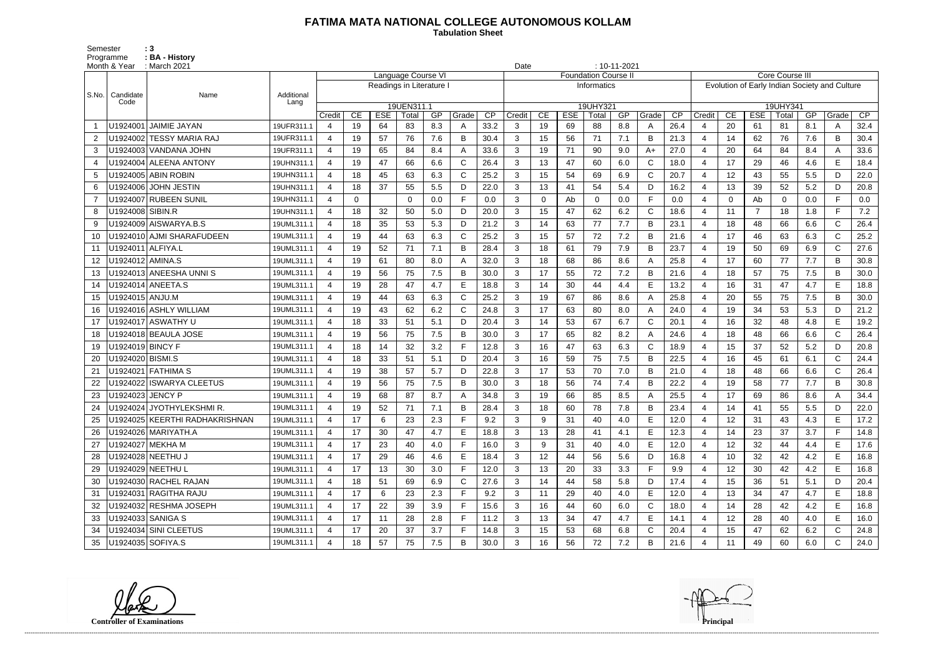## **FATIMA MATA NATIONAL COLLEGE AUTONOMOUS KOLLAM**

Semester : 3 Programme **: BA - History**  **Tabulation Sheet** 

|       | Month & Year      | $: 10 - 11 - 2021$<br>Date<br>: March 2021<br><b>Language Course VI</b><br><b>Foundation Course II</b> |                    |                         |    |            |                          |     |              |      |                |             |            |                   |     |              |                 |                        |                                               |                |          |     |              |              |  |
|-------|-------------------|--------------------------------------------------------------------------------------------------------|--------------------|-------------------------|----|------------|--------------------------|-----|--------------|------|----------------|-------------|------------|-------------------|-----|--------------|-----------------|------------------------|-----------------------------------------------|----------------|----------|-----|--------------|--------------|--|
|       |                   |                                                                                                        |                    |                         |    |            |                          |     |              |      |                |             |            |                   |     |              |                 | <b>Core Course III</b> |                                               |                |          |     |              |              |  |
|       |                   |                                                                                                        |                    |                         |    |            | Readings in Literature I |     |              |      | Informatics    |             |            |                   |     |              |                 |                        | Evolution of Early Indian Society and Culture |                |          |     |              |              |  |
| S.No. | Candidate<br>Code | Name                                                                                                   | Additional<br>Lang |                         |    |            |                          |     |              |      |                |             |            |                   |     |              |                 | 19UHY341               |                                               |                |          |     |              |              |  |
|       |                   |                                                                                                        |                    | Credit                  | CE | <b>ESE</b> | 19UEN311.1<br>Total      | GP  | Grade        | CP   | Credit         | CE          | <b>ESE</b> | 19UHY321<br>Total | GP  | Grade        | $\overline{CP}$ | Credit                 | CE                                            | <b>ESE</b>     | Total    | GP  | Grade        | CP           |  |
|       |                   | U1924001 JAIMIE JAYAN                                                                                  | 19UFR311.1         | 4                       | 19 | 64         | 83                       | 8.3 | A            | 33.2 | 3              | 19          | 69         | 88                | 8.8 | A            | 26.4            | 4                      | 20                                            | 61             | 81       | 8.1 | A            | 32.4         |  |
| 2     |                   | U1924002 TESSY MARIA RAJ                                                                               | 19UFR311.1         | 4                       | 19 | 57         | 76                       | 7.6 | B            | 30.4 | 3              | 15          | 56         | 71                | 7.1 | B            | 21.3            | $\overline{4}$         | 14                                            | 62             | 76       | 7.6 | B            | 30.4         |  |
| 3     |                   | U1924003 VANDANA JOHN                                                                                  | 19UFR311.1         | $\overline{4}$          | 19 | 65         | 84                       | 8.4 |              | 33.6 | 3              | 19          | 71         | 90                | 9.0 | $A+$         | 27.0            | $\overline{4}$         | 20                                            | 64             | 84       | 8.4 | A            | 33.6         |  |
|       |                   | U1924004 ALEENA ANTONY                                                                                 | 19UHN311.1         | 4                       | 19 | 47         | 66                       | 6.6 | $\mathsf{C}$ | 26.4 | 3              | 13          | 47         | 60                | 6.0 | $\mathsf{C}$ | 18.0            | $\overline{4}$         | 17                                            | 29             | 46       | 4.6 | E            | 18.4         |  |
| 5     |                   | U1924005 ABIN ROBIN                                                                                    | 19UHN311.1         | 4                       | 18 | 45         | 63                       | 6.3 | $\mathsf{C}$ | 25.2 | 3              | 15          | 54         | 69                | 6.9 | $\mathsf{C}$ | 20.7            | $\overline{4}$         | 12 <sub>2</sub>                               | 43             | 55       | 5.5 | D.           | 22.0         |  |
| 6     |                   | U1924006 JOHN JESTIN                                                                                   | 19UHN311.1         | 4                       | 18 | 37         | 55                       | 5.5 | D            | 22.0 | 3              | 13          | 41         | 54                | 5.4 | D            | 16.2            | $\overline{4}$         | 13                                            | 39             | 52       | 5.2 | D.           | 20.8         |  |
|       |                   | U1924007 RUBEEN SUNIL                                                                                  | 19UHN311.1         | 4                       | 0  |            | $\mathbf{0}$             | 0.0 | E            | 0.0  | 3              | $\mathbf 0$ | Ab         | $\mathbf 0$       | 0.0 | $\mathsf{F}$ | 0.0             | $\overline{4}$         | $\Omega$                                      | Ab             | $\Omega$ | 0.0 | F.           | 0.0          |  |
| 8     | U1924008 SIBIN.R  |                                                                                                        | 19UHN311.1         | 4                       | 18 | 32         | 50                       | 5.0 | D            | 20.0 | $\mathbf{3}$   | 15          | 47         | 62                | 6.2 | $\mathsf C$  | 18.6            | $\overline{4}$         | 11                                            | $\overline{7}$ | 18       | 1.8 | F.           | 7.2          |  |
| 9     |                   | U1924009 AISWARYA.B.S                                                                                  | 19UML311.1         | 4                       | 18 | 35         | 53                       | 5.3 | D            | 21.2 | 3              | 14          | 63         | 77                | 7.7 | B            | 23.1            | $\overline{4}$         | 18                                            | 48             | 66       | 6.6 | $\mathsf{C}$ | 26.4         |  |
| 10    |                   | U1924010 AJMI SHARAFUDEEN                                                                              | 19UML311.1         | 4                       | 19 | 44         | 63                       | 6.3 | $\mathsf{C}$ | 25.2 | 3              | 15          | 57         | 72                | 7.2 | B            | 21.6            | $\overline{4}$         | 17                                            | 46             | 63       | 6.3 | $\mathsf{C}$ | 25.2         |  |
| 11    | U1924011 ALFIYA.L |                                                                                                        | 19UML311.1         | 4                       | 19 | 52         | 71                       | 7.1 | B            | 28.4 | 3              | 18          | 61         | 79                | 7.9 | B            | 23.7            | $\overline{4}$         | 19                                            | 50             | 69       | 6.9 | C            | 27.6         |  |
| 12    | U1924012 AMINA.S  |                                                                                                        | 19UML311.1         | $\boldsymbol{\Delta}$   | 19 | 61         | 80                       | 8.0 |              | 32.0 | 3              | 18          | 68         | 86                | 8.6 | A            | 25.8            | $\overline{4}$         | 17                                            | 60             | 77       | 7.7 | B            | 30.8         |  |
| 13    |                   | U1924013 ANEESHA UNNIS                                                                                 | 19UML311.1         | 4                       | 19 | 56         | 75                       | 7.5 | B            | 30.0 | $\mathbf{3}$   | 17          | 55         | 72                | 7.2 | B            | 21.6            | $\overline{4}$         | 18                                            | 57             | 75       | 7.5 | B            | 30.0         |  |
| 14    |                   | U1924014 ANEETA.S                                                                                      | 19UML311.1         | $\boldsymbol{\Delta}$   | 19 | 28         | 47                       | 4.7 | E            | 18.8 | 3              | 14          | 30         | 44                | 4.4 | E            | 13.2            | $\overline{4}$         | 16                                            | 31             | 47       | 4.7 | E            | 18.8         |  |
| 15    | U1924015 ANJU.M   |                                                                                                        | 19UML311.1         | $\boldsymbol{\Delta}$   | 19 | 44         | 63                       | 6.3 | $\mathsf{C}$ | 25.2 | 3              | 19          | 67         | 86                | 8.6 | A            | 25.8            | $\overline{4}$         | 20                                            | 55             | 75       | 7.5 | B            | 30.0         |  |
| 16    |                   | U1924016 ASHLY WILLIAM                                                                                 | 19UML311.1         | 4                       | 19 | 43         | 62                       | 6.2 | C            | 24.8 | 3              | 17          | 63         | 80                | 8.0 | A            | 24.0            | $\overline{4}$         | 19                                            | 34             | 53       | 5.3 | D.           | 21.2         |  |
| 17    |                   | U1924017 ASWATHY U                                                                                     | 19UML311.1         | 4                       | 18 | 33         | 51                       | 5.1 | D            | 20.4 | 3              | 14          | 53         | 67                | 6.7 | C            | 20.1            | $\overline{4}$         | 16                                            | 32             | 48       | 4.8 | E            | 19.2         |  |
| 18    |                   | U1924018 BEAULA JOSE                                                                                   | 19UML311.1         | 4                       | 19 | 56         | 75                       | 7.5 | B            | 30.0 | $\mathbf{3}$   | 17          | 65         | 82                | 8.2 | A            | 24.6            | $\overline{4}$         | 18                                            | 48             | 66       | 6.6 | $\mathsf{C}$ | 26.4         |  |
| 19    | U1924019 BINCY F  |                                                                                                        | 19UML311.1         | $\boldsymbol{\Delta}$   | 18 | 14         | 32                       | 3.2 |              | 12.8 | 3              | 16          | 47         | 63                | 6.3 | $\mathsf C$  | 18.9            | $\overline{4}$         | 15                                            | 37             | 52       | 5.2 | D            | 20.8         |  |
| 20    | U1924020 BISMI.S  |                                                                                                        | 19UML311.1         | 4                       | 18 | 33         | 51                       | 5.1 | D            | 20.4 | 3              | 16          | 59         | 75                | 7.5 | B            | 22.5            | $\overline{4}$         | 16                                            | 45             | 61       | 6.1 | $\mathsf{C}$ | 24.4         |  |
| 21    |                   | U1924021 FATHIMA S                                                                                     | 19UML311.1         | 4                       | 19 | 38         | 57                       | 5.7 | D            | 22.8 | 3              | 17          | 53         | 70                | 7.0 | B            | 21.0            | $\overline{4}$         | 18                                            | 48             | 66       | 6.6 | C            | 26.4         |  |
|       |                   | U1924022 ISWARYA CLEETUS                                                                               | 19UML311.1         | 4                       | 19 | 56         | 75                       | 7.5 | B            | 30.0 | 3              | 18          | 56         | 74                | 7.4 | B            | 22.2            | $\overline{4}$         | 19                                            | 58             | 77       | 7.7 | B            | 30.8         |  |
|       | U1924023 JENCY P  |                                                                                                        | 19UML311.1         | 4                       | 19 | 68         | 87                       | 8.7 |              | 34.8 | 3              | 19          | 66         | 85                | 8.5 | A            | 25.5            | $\overline{4}$         | 17                                            | 69             | 86       | 8.6 | A            | 34.4         |  |
| 24    |                   | U1924024 JYOTHYLEKSHMI R                                                                               | 19UML311.1         | $\Delta$                | 19 | 52         | 71                       | 7.1 | B            | 28.4 | 3              | 18          | 60         | 78                | 7.8 | B            | 23.4            | $\overline{4}$         | 14                                            | 41             | 55       | 5.5 | D            | 22.0         |  |
|       |                   | U1924025 KEERTHI RADHAKRISHNAN                                                                         | 19UML311.1         | 4                       | 17 | 6          | 23                       | 2.3 | F            | 9.2  | 3              | 9           | 31         | 40                | 4.0 | E            | 12.0            | 4                      | 12                                            | -31            | 43       | 4.3 | E.           | 17.2         |  |
| 26    |                   | U1924026 MARIYATH.A                                                                                    | 19UML311.1         | 4                       | 17 | 30         | 47                       | 4.7 | E.           | 18.8 | 3              | 13          | 28         | 41                | 4.1 | Е            | 12.3            | 4                      | 14                                            | 23             | 37       | 3.7 | F.           | 14.8         |  |
| 27    | U1924027 MEKHA M  |                                                                                                        | 19UML311.1         | $\overline{4}$          | 17 | 23         | 40                       | 4.0 | F            | 16.0 | 3              | 9           | 31         | 40                | 4.0 | Е            | 12.0            | $\overline{4}$         | 12                                            | 32             | 44       | 4.4 | E.           | 17.6         |  |
|       |                   | U1924028 NEETHU J                                                                                      | 19UML311.1         | 4                       | 17 | 29         | 46                       | 4.6 | E            | 18.4 | 3 <sup>1</sup> | 12          | 44         | 56                | 5.6 | D            | 16.8            | 4                      | 10 <sup>°</sup>                               | 32             | 42       | 4.2 | E            | 16.8         |  |
| 29    |                   | U1924029 NEETHU L                                                                                      | 19UML311.1         | 4                       | 17 | 13         | 30                       | 3.0 | F.           | 12.0 | $\mathbf{3}$   | 13          | 20         | 33                | 3.3 | F            | 9.9             | $\overline{4}$         | 12                                            | 30             | 42       | 4.2 | E.           | 16.8         |  |
| 30    |                   | U1924030 RACHEL RAJAN                                                                                  | 19UML311.1         | 4                       | 18 | 51         | 69                       | 6.9 | C            | 27.6 | $\mathbf{3}$   | 14          | 44         | 58                | 5.8 | D            | 17.4            | $\overline{4}$         | 15                                            | 36             | 51       | 5.1 | D            | 20.4         |  |
|       |                   | U1924031 RAGITHA RAJU                                                                                  | 19UML311.1         | 4                       | 17 | 6          | 23                       | 2.3 | F            | 9.2  | 3              | 11          | 29         | 40                | 4.0 | Е            | 12.0            |                        | 13                                            | 34             | 47       | 4.7 | E.           | 18.8         |  |
| 32    |                   | U1924032 RESHMA JOSEPH                                                                                 | 19UML311.1         | $\overline{4}$          | 17 | 22         | 39                       | 3.9 | F.           | 15.6 | 3              | 16          | 44         | 60                | 6.0 | C            | 18.0            | $\overline{4}$         | 14                                            | 28             | 42       | 4.2 | E.           | 16.8         |  |
| 33    |                   | U1924033 SANIGA S                                                                                      | 19UML311.1         | 4                       | 17 | 11         | 28                       | 2.8 | F            | 11.2 | $\mathbf{3}$   | 13          | 34         | 47                | 4.7 | E            | 14.1            | $\overline{4}$         | 12                                            | 28             | 40       | 4.0 | E.           | 16.0         |  |
| 34    |                   | U1924034 SINI CLEETUS                                                                                  | 19UML311.1         | $\overline{\mathbf{4}}$ | 17 | 20         | 37                       | 3.7 | F            | 14.8 | $\mathbf{3}$   | 15          | 53         | 68                | 6.8 | $\mathsf C$  | 20.4            | 4                      | 15                                            | 47             | 62       | 6.2 | $\mathsf{C}$ | 24.8         |  |
| 35    | U1924035 SOFIYA.S |                                                                                                        | 19UML311.1         | 4                       | 18 | 57         | 75                       | 7.5 | B            | 30.0 | 3 <sup>1</sup> | 16          | 56         | 72                | 7.2 | B            | 21.6            |                        | 11                                            | 49             | 60       | 6.0 | C.           | 24.0 $\vert$ |  |

**Controller of Examinations** 

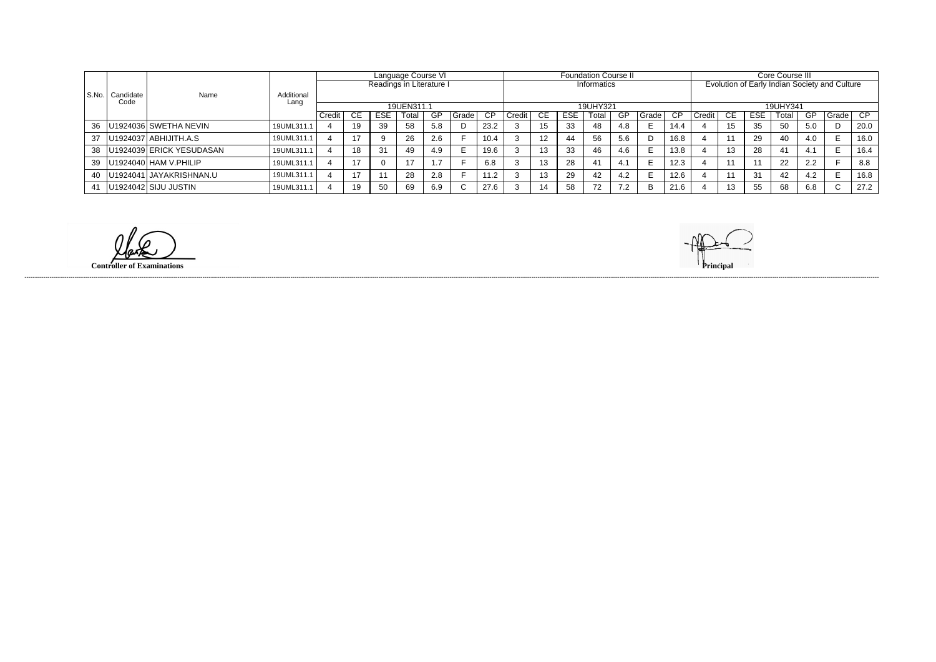|       |           | Name                           |            |        |            |            | Language Course VI       |     |          |      | <b>Foundation Course II</b> |                   |            |             |           |          |      |                                               | Core Course III |            |       |     |             |      |  |
|-------|-----------|--------------------------------|------------|--------|------------|------------|--------------------------|-----|----------|------|-----------------------------|-------------------|------------|-------------|-----------|----------|------|-----------------------------------------------|-----------------|------------|-------|-----|-------------|------|--|
|       |           |                                |            |        |            |            | Readings in Literature I |     |          |      |                             |                   |            | Informatics |           |          |      | Evolution of Early Indian Society and Culture |                 |            |       |     |             |      |  |
| S.No. | Candidate |                                | Additional |        |            |            |                          |     |          |      |                             |                   |            |             |           |          |      |                                               |                 |            |       |     |             |      |  |
|       | Code      |                                | Lanc       |        | 19UEN311.1 |            |                          |     | 19UHY321 |      |                             |                   |            |             |           | 19UHY341 |      |                                               |                 |            |       |     |             |      |  |
|       |           |                                |            | Credit | СE         | <b>ESE</b> | Total                    | GP  | Grade    | CP   | Credit                      | <b>CE</b>         | <b>ESE</b> | Total       | <b>GP</b> | Grade    | CP.  | Credit I                                      | CE.             | <b>ESE</b> | Total | GP  | I Grade     | CP   |  |
|       |           | 36   U1924036   SWETHA NEVIN   | 19UML311.1 |        | 19         | 39         | 58                       | 5.8 |          | 23.2 |                             | 15<br>w           | 33         | 48          | 4.8       |          | 14.4 |                                               |                 | 35         | 50    | 5.0 |             | 20.0 |  |
|       |           | 37   U1924037   ABHIJITH.A.S   | 19UML311.  |        |            |            | -26                      | 2.6 |          | 10.4 |                             | $12 \overline{ }$ | 44         | 56          | 5.6       |          | 16.8 |                                               |                 | 29         | 40    | 4.0 |             | 16.0 |  |
|       |           | 38   U1924039 ERICK YESUDASAN  | 19UML311.1 |        | 18         | 31         | 49                       | 4.9 |          | 19.6 |                             | 13                | 33         | 46          | 4.6       | Е        | 13.8 |                                               | 13              | 28         |       |     |             | 16.4 |  |
|       |           | 39   U1924040   HAM V. PHILIP  | 19UML311.1 |        |            |            | 17                       |     |          | 6.8  |                             | 13                | 28         | 41          | 4.1       |          | 12.3 |                                               |                 |            | 22    | 2.2 |             | 8.8  |  |
|       |           | 40   U1924041   JAYAKRISHNAN.U | 19UML311.1 |        |            |            | 28                       | 2.8 |          | 11.2 |                             | 13                | 29         | 42          | 4.2       |          | 12.6 |                                               |                 | 31         | 42    | 4.2 |             | 16.8 |  |
|       |           | 41   U1924042 SIJU JUSTIN      | 19UML311.1 |        | 19         | 50         | 69                       | 6.9 |          | 27.6 |                             | 14                | 58         | 72          | 7.2       | B        | 21.6 |                                               | 13              | 55         | 68    | 6.8 | $\sim$<br>◡ | 27.2 |  |

**Controller of Examinations Principal**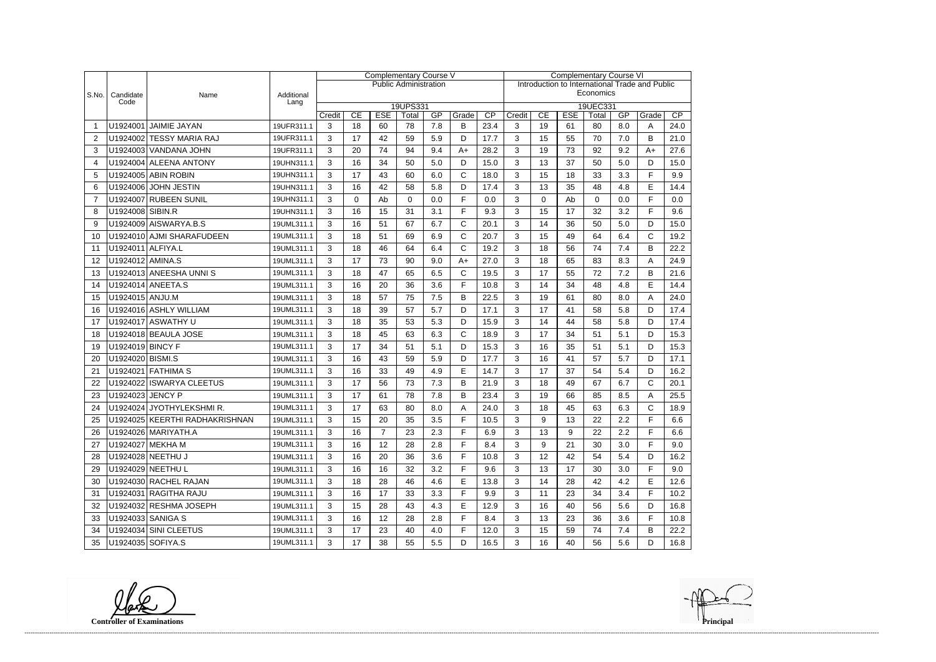|       |                          |                                |                    | Complementary Course V |          |                |                              |     |              |                                                | <b>Complementary Course VI</b> |          |            |                   |     |              |      |  |
|-------|--------------------------|--------------------------------|--------------------|------------------------|----------|----------------|------------------------------|-----|--------------|------------------------------------------------|--------------------------------|----------|------------|-------------------|-----|--------------|------|--|
|       |                          |                                |                    |                        |          |                | <b>Public Administration</b> |     |              | Introduction to International Trade and Public |                                |          |            |                   |     |              |      |  |
| S.No. | Candidate<br>Code        | Name                           | Additional<br>Lang |                        |          |                |                              |     |              |                                                | Economics                      |          |            |                   |     |              |      |  |
|       |                          |                                |                    | Credit                 | CE       | <b>ESE</b>     | 19UPS331<br>Total            | GP  | Grade        | CP                                             | Credit                         | CE       | <b>ESE</b> | 19UEC331<br>Total | GP  | Grade        | CP   |  |
| -1    |                          | U1924001 JAIMIE JAYAN          | 19UFR311.1         | 3                      | 18       | 60             | 78                           | 7.8 | B            | 23.4                                           | 3                              | 19       | 61         | 80                | 8.0 | A            | 24.0 |  |
| 2     |                          | U1924002 TESSY MARIA RAJ       | 19UFR311.1         | 3                      | 17       | 42             | 59                           | 5.9 | D            | 17.7                                           | 3                              | 15       | 55         | 70                | 7.0 | B            | 21.0 |  |
| 3     |                          | U1924003 VANDANA JOHN          | 19UFR311.1         | 3                      | 20       | 74             | 94                           | 9.4 | $A+$         | 28.2                                           | 3                              | 19       | 73         | 92                | 9.2 | $A+$         | 27.6 |  |
| 4     |                          | U1924004 ALEENA ANTONY         | 19UHN311.1         | 3                      | 16       | 34             | 50                           | 5.0 | D            | 15.0                                           | 3                              | 13       | 37         | 50                | 5.0 | D            | 15.0 |  |
| 5     |                          | U1924005 ABIN ROBIN            | 19UHN311.1         | 3                      | 17       | 43             | 60                           | 6.0 | $\mathsf{C}$ | 18.0                                           | 3                              | 15       | 18         | 33                | 3.3 | F            | 9.9  |  |
| 6     |                          | U1924006 JOHN JESTIN           | 19UHN311.1         | 3                      | 16       | 42             | 58                           | 5.8 | D            | 17.4                                           | 3                              | 13       | 35         | 48                | 4.8 | E            | 14.4 |  |
| 7     |                          | U1924007 RUBEEN SUNIL          | 19UHN311.1         | 3                      | $\Omega$ | Ab             | $\Omega$                     | 0.0 | F            | 0.0                                            | 3                              | $\Omega$ | Ab         | $\Omega$          | 0.0 | F            | 0.0  |  |
| 8     | U1924008 SIBIN.R         |                                | 19UHN311.1         | 3                      | 16       | 15             | 31                           | 3.1 | F            | 9.3                                            | 3                              | 15       | 17         | 32                | 3.2 | F            | 9.6  |  |
| 9     |                          | U1924009 AISWARYA.B.S          | 19UML311.1         | 3                      | 16       | 51             | 67                           | 6.7 | $\mathsf{C}$ | 20.1                                           | 3                              | 14       | 36         | 50                | 5.0 | D            | 15.0 |  |
| 10    |                          | U1924010 AJMI SHARAFUDEEN      | 19UML311.1         | 3                      | 18       | 51             | 69                           | 6.9 | $\mathsf{C}$ | 20.7                                           | 3                              | 15       | 49         | 64                | 6.4 | $\mathsf{C}$ | 19.2 |  |
| 11    | U1924011 ALFIYA.L        |                                | 19UML311.1         | 3                      | 18       | 46             | 64                           | 6.4 | $\mathbf C$  | 19.2                                           | 3                              | 18       | 56         | 74                | 7.4 | B            | 22.2 |  |
| 12    | U1924012 AMINA.S         |                                | 19UML311.1         | 3                      | 17       | 73             | 90                           | 9.0 | $A+$         | 27.0                                           | 3                              | 18       | 65         | 83                | 8.3 | A            | 24.9 |  |
| 13    |                          | U1924013 ANEESHA UNNIS         | 19UML311.1         | 3                      | 18       | 47             | 65                           | 6.5 | C            | 19.5                                           | 3                              | 17       | 55         | 72                | 7.2 | B            | 21.6 |  |
| 14    |                          | U1924014 ANEETA.S              | 19UML311.1         | 3                      | 16       | 20             | 36                           | 3.6 | F            | 10.8                                           | 3                              | 14       | 34         | 48                | 4.8 | E            | 14.4 |  |
| 15    | U1924015 ANJU.M          |                                | 19UML311.1         | 3                      | 18       | 57             | 75                           | 7.5 | B            | 22.5                                           | 3                              | 19       | 61         | 80                | 8.0 | A            | 24.0 |  |
| 16    |                          | U1924016 ASHLY WILLIAM         | 19UML311.1         | 3                      | 18       | 39             | 57                           | 5.7 | D            | 17.1                                           | 3                              | 17       | 41         | 58                | 5.8 | D            | 17.4 |  |
| 17    |                          | U1924017 ASWATHY U             | 19UML311.1         | 3                      | 18       | 35             | 53                           | 5.3 | D            | 15.9                                           | 3                              | 14       | 44         | 58                | 5.8 | D            | 17.4 |  |
| 18    |                          | U1924018 BEAULA JOSE           | 19UML311.1         | 3                      | 18       | 45             | 63                           | 6.3 | $\mathsf{C}$ | 18.9                                           | 3                              | 17       | 34         | 51                | 5.1 | D            | 15.3 |  |
| 19    | U1924019 BINCY F         |                                | 19UML311.1         | 3                      | 17       | 34             | 51                           | 5.1 | D            | 15.3                                           | 3                              | 16       | 35         | 51                | 5.1 | D            | 15.3 |  |
| 20    | U1924020 BISMI.S         |                                | 19UML311.1         | 3                      | 16       | 43             | 59                           | 5.9 | D            | 17.7                                           | 3                              | 16       | 41         | 57                | 5.7 | D            | 17.1 |  |
| 21    |                          | U1924021 FATHIMA S             | 19UML311.1         | 3                      | 16       | 33             | 49                           | 4.9 | E            | 14.7                                           | 3                              | 17       | 37         | 54                | 5.4 | D            | 16.2 |  |
| 22    |                          | U1924022 ISWARYA CLEETUS       | 19UML311.1         | 3                      | 17       | 56             | 73                           | 7.3 | B            | 21.9                                           | 3                              | 18       | 49         | 67                | 6.7 | $\mathsf{C}$ | 20.1 |  |
| 23    | U1924023 JENCY P         |                                | 19UML311.1         | 3                      | 17       | 61             | 78                           | 7.8 | B            | 23.4                                           | 3                              | 19       | 66         | 85                | 8.5 | A            | 25.5 |  |
| 24    |                          | U1924024 JYOTHYLEKSHMIR.       | 19UML311.1         | 3                      | 17       | 63             | 80                           | 8.0 | Α            | 24.0                                           | 3                              | 18       | 45         | 63                | 6.3 | $\mathsf{C}$ | 18.9 |  |
| 25    |                          | U1924025 KEERTHI RADHAKRISHNAN | 19UML311.1         | 3                      | 15       | 20             | $35\,$                       | 3.5 | F            | 10.5                                           | 3                              | 9        | 13         | 22                | 2.2 | E            | 6.6  |  |
| 26.   |                          | U1924026 MARIYATH.A            | 19UML311.1         | 3                      | 16       | $\overline{7}$ | 23                           | 2.3 | F            | 6.9                                            | 3                              | 13       | 9          | 22                | 2.2 | F            | 6.6  |  |
| 27    |                          | U1924027 MEKHA M               | 19UML311.1         | 3                      | 16       | 12             | 28                           | 2.8 | F            | 8.4                                            | 3                              | 9        | 21         | 30                | 3.0 | F            | 9.0  |  |
| 28    |                          | U1924028 NEETHU J              | 19UML311.1         | 3                      | 16       | 20             | 36                           | 3.6 | E            | 10.8                                           | 3                              | 12       | 42         | 54                | 5.4 | D            | 16.2 |  |
| 29    |                          | U1924029 NEETHU L              | 19UML311.1         | 3                      | 16       | 16             | 32                           | 3.2 | F            | 9.6                                            | 3                              | 13       | 17         | 30                | 3.0 | F            | 9.0  |  |
| 30    |                          | U1924030 RACHEL RAJAN          | 19UML311.1         | 3                      | 18       | 28             | 46                           | 4.6 | Е            | 13.8                                           | 3                              | 14       | 28         | 42                | 4.2 | Е            | 12.6 |  |
| 31.   |                          | U1924031 RAGITHA RAJU          | 19UML311.1         | 3                      | 16       | 17             | 33                           | 3.3 | F            | 9.9                                            | 3                              | 11       | 23         | 34                | 3.4 | F            | 10.2 |  |
| 32    |                          | U1924032 RESHMA JOSEPH         | 19UML311.1         | 3                      | 15       | 28             | 43                           | 4.3 | E            | 12.9                                           | 3                              | 16       | 40         | 56                | 5.6 | D            | 16.8 |  |
| 33    |                          | U1924033 SANIGA S              | 19UML311.1         | 3                      | 16       | 12             | 28                           | 2.8 | F            | 8.4                                            | 3                              | 13       | 23         | 36                | 3.6 | F            | 10.8 |  |
| 34    |                          | U1924034 SINI CLEETUS          | 19UML311.1         | 3                      | 17       | 23             | 40                           | 4.0 | F            | 12.0                                           | 3                              | 15       | 59         | 74                | 7.4 | B            | 22.2 |  |
|       | 35   U1924035   SOFIYA.S |                                | 19UML311.1         | 3                      | 17       | 38             | 55                           | 5.5 | D            | 16.5                                           | 3                              | 16       | 40         | 56                | 5.6 | D            | 16.8 |  |

**Controller of Examinations Principal**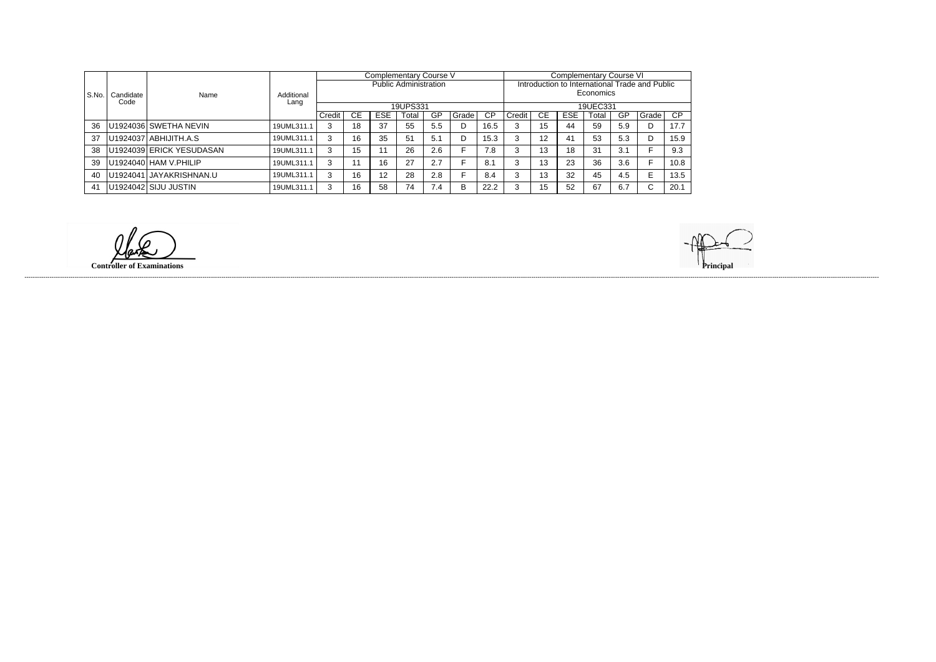|       |                   |                          |                    |        |           |            | Complementary Course V       |     |        |           | Complementary Course VI                        |    |            |           |           |         |      |  |
|-------|-------------------|--------------------------|--------------------|--------|-----------|------------|------------------------------|-----|--------|-----------|------------------------------------------------|----|------------|-----------|-----------|---------|------|--|
|       |                   |                          |                    |        |           |            | <b>Public Administration</b> |     |        |           | Introduction to International Trade and Public |    |            |           |           |         |      |  |
| S.No. | Candidate<br>Code | Name                     | Additional<br>Lang |        |           |            |                              |     |        |           |                                                |    |            | Economics |           |         |      |  |
|       |                   |                          |                    |        |           |            | 19UPS331                     |     |        |           | 19UEC331                                       |    |            |           |           |         |      |  |
|       |                   |                          |                    | Credit | <b>CE</b> | <b>ESE</b> | Total                        | GP  | Grade  | <b>CP</b> | Credit                                         | CЕ | <b>ESE</b> | Total     | <b>GP</b> | Grade   | CP   |  |
| 36    |                   | U1924036   SWETHA NEVIN  | 19UML311.1         | 3      | 18        | 37         | 55                           | 5.5 |        | 16.5      |                                                | 15 | 44         | 59        | 5.9       |         | 17.7 |  |
| -37   |                   | U1924037 ABHIJITH.A.S    | 19UML311.1         | 3      | 16        | 35         | 51                           | 5.1 |        | 15.3      | 3                                              | 12 | 41         | 53        | 5.3       |         | 15.9 |  |
| 38    |                   | U1924039 ERICK YESUDASAN | 19UML311.1         | 3      | 15        |            | 26                           | 2.6 |        | 7.8       |                                                | 13 | 18         | 31        | 3.1       |         | 9.3  |  |
| 39    |                   | U1924040 HAM V.PHILIP    | 19UML311.1         | 3      |           | 16         | 27                           | 2.7 |        | 8.1       |                                                | 13 | 23         | 36        | 3.6       |         | 10.8 |  |
| 40    |                   | U1924041 JAYAKRISHNAN.U  | 19UML311.1         | 3      | 16        | 12         | 28                           | 2.8 |        | 8.4       | ົ                                              | 13 | 32         | 45        | 4.5       | E       | 13.5 |  |
| 41    |                   | U1924042 SIJU JUSTIN     | 19UML311.1         | ⌒      | 16        | 58         | 74                           | 7.4 | D<br>в | 22.2      |                                                | 15 | 52         | 67        | 6.7       | ⌒<br>L. | 20.1 |  |

**Controller of Examinations Principal**

------------------------------------------------------------------------------------------------------------------------------------------------------------------------------------------------------------------------------------------------------------------------------------------------------------------------------------------------------------------------------------------------------------------------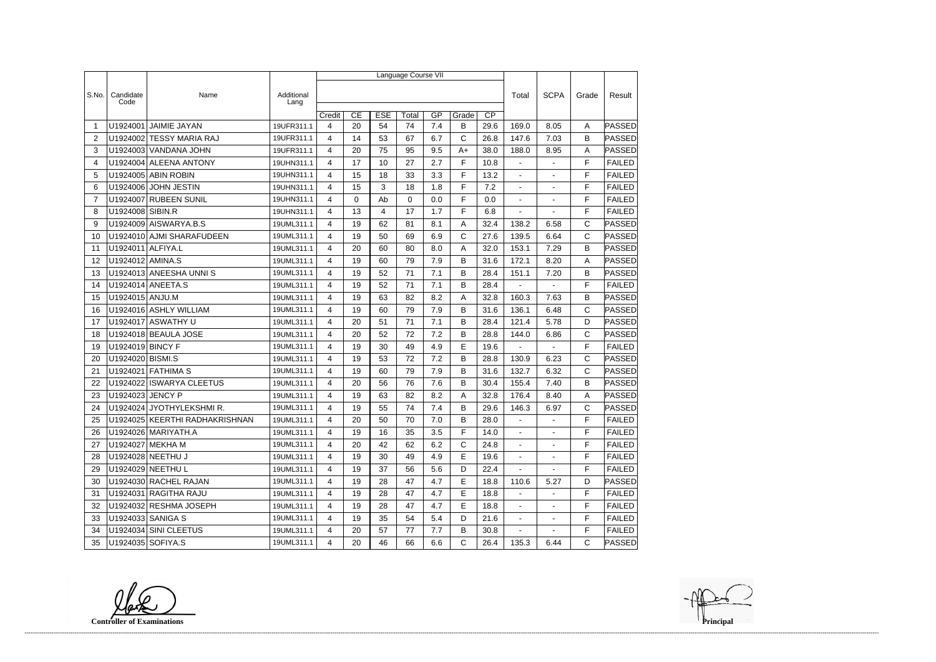|                |                   |                                |                    | Language Course VII |             |            |          |       |              |                 |                  |                          |              |               |
|----------------|-------------------|--------------------------------|--------------------|---------------------|-------------|------------|----------|-------|--------------|-----------------|------------------|--------------------------|--------------|---------------|
|                |                   |                                |                    |                     |             |            |          |       |              |                 |                  |                          |              |               |
| S.No.          | Candidate<br>Code | Name                           | Additional<br>Lang |                     |             |            |          |       |              |                 | Total            | <b>SCPA</b>              | Grade        | Result        |
|                |                   |                                |                    | Credit              | CE          | <b>ESE</b> | Total    | GP    | Grade        | $\overline{CP}$ |                  |                          |              |               |
| -1             | U1924001          | <b>JAIMIE JAYAN</b>            | 19UFR311.1         | 4                   | 20          | 54         | 74       | 7.4   | В            | 29.6            | 169.0            | 8.05                     | A            | PASSED        |
| 2              |                   | U1924002 TESSY MARIA RAJ       | 19UFR311.1         | 4                   | 14          | 53         | 67       | 6.7   | C            | 26.8            | 147.6            | 7.03                     | B            | PASSED        |
| 3              |                   | U1924003 VANDANA JOHN          | 19UFR311.1         | 4                   | 20          | 75         | 95       | 9.5   | $A+$         | 38.0            | 188.0            | 8.95                     | A            | <b>PASSED</b> |
| 4              |                   | U1924004 ALEENA ANTONY         | 19UHN311.1         | 4                   | 17          | 10         | 27       | 2.7   | F            | 10.8            | $\blacksquare$   | $\overline{a}$           | F            | <b>FAILED</b> |
| 5              |                   | U1924005 ABIN ROBIN            | 19UHN311.1         | 4                   | 15          | 18         | 33       | 3.3   | F            | 13.2            | $\blacksquare$   | $\blacksquare$           | F            | <b>FAILED</b> |
| 6              |                   | U1924006 JOHN JESTIN           | 19UHN311.1         | 4                   | 15          | 3          | 18       | 1.8   | F            | 7.2             |                  |                          | F            | <b>FAILED</b> |
| $\overline{7}$ |                   | U1924007 RUBEEN SUNIL          | 19UHN311.1         | 4                   | $\mathbf 0$ | Ab         | $\Omega$ | 0.0   | F            | 0.0             | $\blacksquare$   |                          | F            | <b>FAILED</b> |
| 8              | U1924008 SIBIN.R  |                                | 19UHN311.1         | 4                   | 13          | 4          | 17       | 1.7   | F            | 6.8             | $\blacksquare$   | $\overline{\phantom{a}}$ | F            | <b>FAILED</b> |
| 9              |                   | U1924009 AISWARYA.B.S          | 19UML311.1         | $\overline{4}$      | 19          | 62         | 81       | 8.1   | Α            | 32.4            | 138.2            | 6.58                     | $\mathsf C$  | PASSED        |
| 10             |                   | U1924010 AJMI SHARAFUDEEN      | 19UML311.1         | 4                   | 19          | 50         | 69       | 6.9   | C            | 27.6            | 139.5            | 6.64                     | $\mathsf{C}$ | <b>PASSED</b> |
| 11             | U1924011          | ALFIYA.L                       | 19UML311.1         | 4                   | 20          | 60         | 80       | 8.0   | Α            | 32.0            | 153.1            | 7.29                     | B            | PASSED        |
| 12             | U1924012 AMINA.S  |                                | 19UML311.1         | 4                   | 19          | 60         | 79       | 7.9   | B            | 31.6            | 172.1            | 8.20                     | A            | PASSED        |
| 13             |                   | U1924013 ANEESHA UNNIS         | 19UML311.1         | 4                   | 19          | 52         | 71       | 7.1   | B            | 28.4            | 151.1            | 7.20                     | B            | <b>PASSED</b> |
| 14             |                   | U1924014 ANEETA.S              | 19UML311.1         | 4                   | 19          | 52         | 71       | 7.1   | B            | 28.4            | $\blacksquare$   | ÷.                       | F            | <b>FAILED</b> |
| 15             | U1924015 ANJU.M   |                                | 19UML311.1         | 4                   | 19          | 63         | 82       | 8.2   | Α            | 32.8            | 160.3            | 7.63                     | B            | PASSED        |
| 16             |                   | U1924016 ASHLY WILLIAM         | 19UML311.1         | 4                   | 19          | 60         | 79       | 7.9   | B            | 31.6            | 136.1            | 6.48                     | $\mathsf{C}$ | PASSED        |
| 17             |                   | U1924017 ASWATHY U             | 19UML311.1         | 4                   | 20          | 51         | 71       | 7.1   | B            | 28.4            | 121.4            | 5.78                     | D            | PASSED        |
| 18             |                   | U1924018 BEAULA JOSE           | 19UML311.1         | 4                   | 20          | 52         | 72       | 7.2   | В            | 28.8            | 144.0            | 6.86                     | C            | <b>PASSED</b> |
| 19             | U1924019 BINCY F  |                                | 19UML311.1         | $\overline{4}$      | 19          | 30         | 49       | 4.9   | E            | 19.6            |                  |                          | F            | <b>FAILED</b> |
| 20             | U1924020 BISMI.S  |                                | 19UML311.1         | 4                   | 19          | 53         | 72       | 7.2   | B            | 28.8            | 130.9            | 6.23                     | C            | PASSED        |
| 21             | U1924021          | FATHIMA S                      | 19UML311.1         | 4                   | 19          | 60         | 79       | 7.9   | В            | 31.6            | 132.7            | 6.32                     | $\mathsf{C}$ | PASSED        |
| 22             | U1924022          | <b>ISWARYA CLEETUS</b>         | 19UML311.1         | 4                   | 20          | 56         | 76       | 7.6   | B            | 30.4            | 155.4            | 7.40                     | B            | PASSED        |
| 23             | U1924023 JENCY P  |                                | 19UML311.1         | 4                   | 19          | 63         | 82       | 8.2   | A            | 32.8            | 176.4            | 8.40                     | A            | <b>PASSED</b> |
| 24             |                   | U1924024 JYOTHYLEKSHMIR.       | 19UML311.1         | 4                   | 19          | 55         | 74       | 7.4   | B            | 29.6            | 146.3            | 6.97                     | $\mathsf C$  | PASSED        |
| 25             |                   | U1924025 KEERTHI RADHAKRISHNAN | 19UML311.1         | 4                   | 20          | 50         | $70\,$   | $7.0$ | B            | 28.0            | $\sim$ 100 $\mu$ | $\sim$ 10 $\pm$          | $\mathsf F$  | FAILED        |
| 26             |                   | U1924026   MARIYATH.A          | 19UML311.1         | 4                   | 19          | 16         | 35       | 3.5   | F            | 14.0            |                  |                          | F            | <b>FAILED</b> |
| 27             |                   | U1924027 MEKHA M               | 19UML311.1         | 4                   | 20          | 42         | 62       | 6.2   | $\mathsf{C}$ | 24.8            | $\sim$           | $\blacksquare$           | F            | <b>FAILED</b> |
| 28             |                   | U1924028   NEETHU J            | 19UML311.1         | 4                   | 19          | 30         | 49       | 4.9   | E.           | 19.6            | $\sim$           | $\overline{\phantom{a}}$ | F            | <b>FAILED</b> |
| 29             |                   | U1924029   NEETHU L            | 19UML311.1         | 4                   | 19          | 37         | 56       | 5.6   | D            | 22.4            | $\sim$           | $\blacksquare$           | F            | <b>FAILED</b> |
| 30             |                   | U1924030 RACHEL RAJAN          | 19UML311.1         | $\overline{4}$      | 19          | 28         | 47       | 4.7   | E.           | 18.8            | 110.6            | 5.27                     | D            | PASSED        |
| 31             |                   | U1924031 RAGITHA RAJU          | 19UML311.1         | 4                   | 19          | 28         | 47       | 4.7   | E.           | 18.8            | $\sim$           | $\blacksquare$           | F            | <b>FAILED</b> |
| 32             |                   | U1924032 RESHMA JOSEPH         | 19UML311.1         | 4                   | 19          | 28         | 47       | 4.7   | E            | 18.8            | $\sim$           | $\blacksquare$           | F            | <b>FAILED</b> |
| 33             |                   | U1924033 SANIGA S              | 19UML311.1         | 4                   | 19          | 35         | 54       | 5.4   | D            | 21.6            | $\sim$           | $\overline{\phantom{a}}$ | F            | <b>FAILED</b> |
| 34             |                   | U1924034 SINI CLEETUS          | 19UML311.1         | 4                   | 20          | 57         | 77       | 7.7   | B            | 30.8            | $\sim$           |                          | F            | <b>FAILED</b> |
| 35             | U1924035 SOFIYA.S |                                | 19UML311.1         | 4                   | 20          | 46         | 66       | 6.6   | $\mathsf{C}$ | 26.4            | 135.3            | 6.44                     | C            | PASSED        |

**Controller of Examinations**